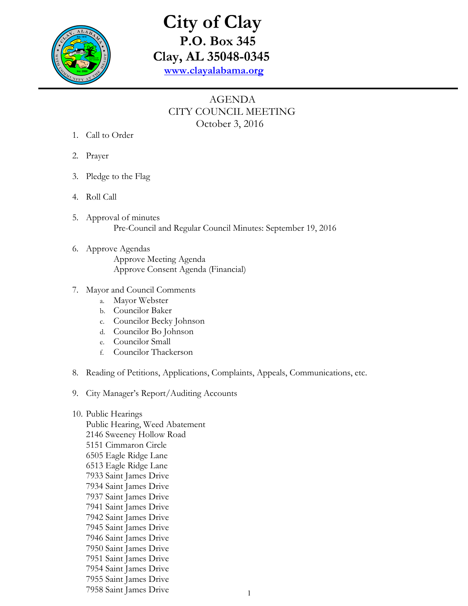

# **City of Clay P.O. Box 345 Clay, AL 35048-0345 www.clayalabama.org**

## AGENDA CITY COUNCIL MEETING October 3, 2016

- 1. Call to Order
- 2. Prayer
- 3. Pledge to the Flag
- 4. Roll Call
- 5. Approval of minutes Pre-Council and Regular Council Minutes: September 19, 2016
- 6. Approve Agendas Approve Meeting Agenda Approve Consent Agenda (Financial)
- 7. Mayor and Council Comments
	- a. Mayor Webster
	- b. Councilor Baker
	- c. Councilor Becky Johnson
	- d. Councilor Bo Johnson
	- e. Councilor Small
	- f. Councilor Thackerson
- 8. Reading of Petitions, Applications, Complaints, Appeals, Communications, etc.
- 9. City Manager's Report/Auditing Accounts
- 10. Public Hearings Public Hearing, Weed Abatement 2146 Sweeney Hollow Road 5151 Cimmaron Circle 6505 Eagle Ridge Lane 6513 Eagle Ridge Lane 7933 Saint James Drive 7934 Saint James Drive 7937 Saint James Drive 7941 Saint James Drive 7942 Saint James Drive 7945 Saint James Drive 7946 Saint James Drive 7950 Saint James Drive 7951 Saint James Drive 7954 Saint James Drive 7955 Saint James Drive 7958 Saint James Drive